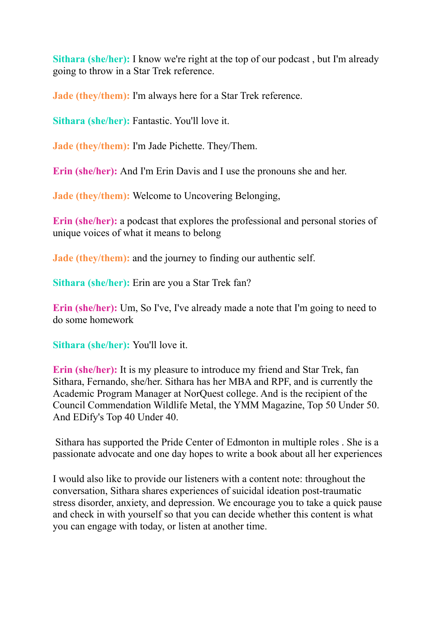**Sithara (she/her):** I know we're right at the top of our podcast , but I'm already going to throw in a Star Trek reference.

**Jade (they/them):** I'm always here for a Star Trek reference.

**Sithara (she/her):** Fantastic. You'll love it.

**Jade (they/them):** I'm Jade Pichette. They/Them.

**Erin (she/her):** And I'm Erin Davis and I use the pronouns she and her.

**Jade (they/them):** Welcome to Uncovering Belonging,

**Erin (she/her):** a podcast that explores the professional and personal stories of unique voices of what it means to belong

**Jade (they/them):** and the journey to finding our authentic self.

**Sithara (she/her):** Erin are you a Star Trek fan?

**Erin (she/her):** Um, So I've, I've already made a note that I'm going to need to do some homework

**Sithara (she/her):** You'll love it.

**Erin (she/her):** It is my pleasure to introduce my friend and Star Trek, fan Sithara, Fernando, she/her. Sithara has her MBA and RPF, and is currently the Academic Program Manager at NorQuest college. And is the recipient of the Council Commendation Wildlife Metal, the YMM Magazine, Top 50 Under 50. And EDify's Top 40 Under 40.

Sithara has supported the Pride Center of Edmonton in multiple roles . She is a passionate advocate and one day hopes to write a book about all her experiences

I would also like to provide our listeners with a content note: throughout the conversation, Sithara shares experiences of suicidal ideation post-traumatic stress disorder, anxiety, and depression. We encourage you to take a quick pause and check in with yourself so that you can decide whether this content is what you can engage with today, or listen at another time.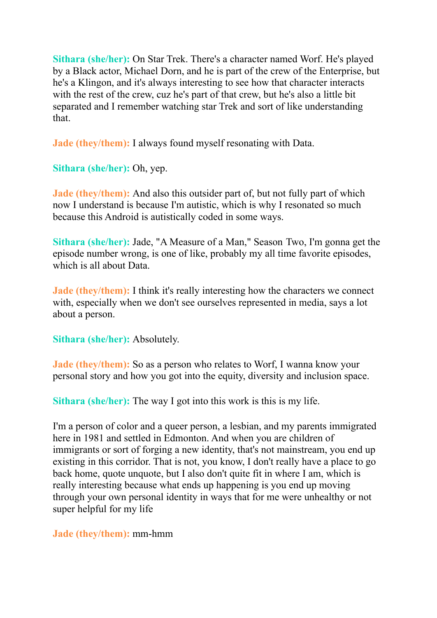**Sithara (she/her):** On Star Trek. There's a character named Worf. He's played by a Black actor, Michael Dorn, and he is part of the crew of the Enterprise, but he's a Klingon, and it's always interesting to see how that character interacts with the rest of the crew, cuz he's part of that crew, but he's also a little bit separated and I remember watching star Trek and sort of like understanding that.

**Jade (they/them):** I always found myself resonating with Data.

**Sithara (she/her):** Oh, yep.

**Jade (they/them):** And also this outsider part of, but not fully part of which now I understand is because I'm autistic, which is why I resonated so much because this Android is autistically coded in some ways.

**Sithara (she/her):** Jade, "A Measure of a Man," Season Two, I'm gonna get the episode number wrong, is one of like, probably my all time favorite episodes, which is all about Data.

**Jade** (they/them): I think it's really interesting how the characters we connect with, especially when we don't see ourselves represented in media, says a lot about a person.

**Sithara (she/her):** Absolutely.

**Jade** (they/them): So as a person who relates to Worf, I wanna know your personal story and how you got into the equity, diversity and inclusion space.

**Sithara (she/her):** The way I got into this work is this is my life.

I'm a person of color and a queer person, a lesbian, and my parents immigrated here in 1981 and settled in Edmonton. And when you are children of immigrants or sort of forging a new identity, that's not mainstream, you end up existing in this corridor. That is not, you know, I don't really have a place to go back home, quote unquote, but I also don't quite fit in where I am, which is really interesting because what ends up happening is you end up moving through your own personal identity in ways that for me were unhealthy or not super helpful for my life

**Jade (they/them):** mm-hmm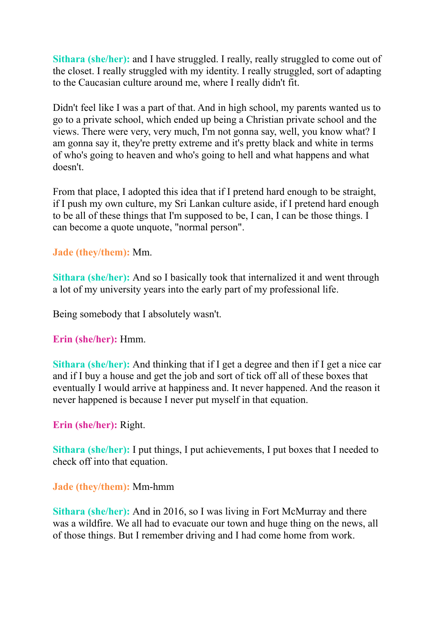**Sithara (she/her):** and I have struggled. I really, really struggled to come out of the closet. I really struggled with my identity. I really struggled, sort of adapting to the Caucasian culture around me, where I really didn't fit.

Didn't feel like I was a part of that. And in high school, my parents wanted us to go to a private school, which ended up being a Christian private school and the views. There were very, very much, I'm not gonna say, well, you know what? I am gonna say it, they're pretty extreme and it's pretty black and white in terms of who's going to heaven and who's going to hell and what happens and what doesn't.

From that place, I adopted this idea that if I pretend hard enough to be straight, if I push my own culture, my Sri Lankan culture aside, if I pretend hard enough to be all of these things that I'm supposed to be, I can, I can be those things. I can become a quote unquote, "normal person".

**Jade (they/them):** Mm.

**Sithara (she/her):** And so I basically took that internalized it and went through a lot of my university years into the early part of my professional life.

Being somebody that I absolutely wasn't.

**Erin (she/her):** Hmm.

**Sithara (she/her):** And thinking that if I get a degree and then if I get a nice car and if I buy a house and get the job and sort of tick off all of these boxes that eventually I would arrive at happiness and. It never happened. And the reason it never happened is because I never put myself in that equation.

**Erin (she/her):** Right.

**Sithara (she/her):** I put things, I put achievements, I put boxes that I needed to check off into that equation.

**Jade (they/them):** Mm-hmm

**Sithara (she/her):** And in 2016, so I was living in Fort McMurray and there was a wildfire. We all had to evacuate our town and huge thing on the news, all of those things. But I remember driving and I had come home from work.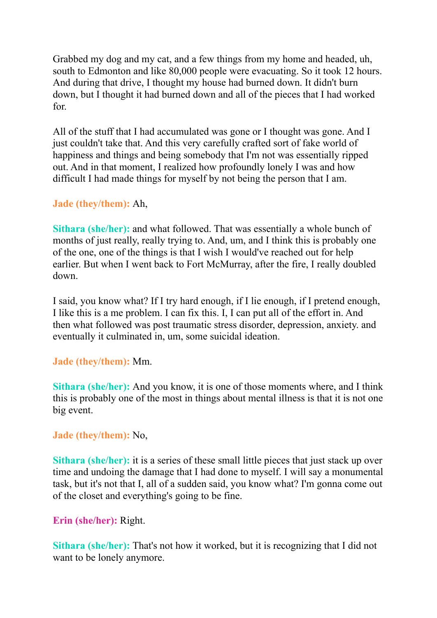Grabbed my dog and my cat, and a few things from my home and headed, uh, south to Edmonton and like 80,000 people were evacuating. So it took 12 hours. And during that drive, I thought my house had burned down. It didn't burn down, but I thought it had burned down and all of the pieces that I had worked for.

All of the stuff that I had accumulated was gone or I thought was gone. And I just couldn't take that. And this very carefully crafted sort of fake world of happiness and things and being somebody that I'm not was essentially ripped out. And in that moment, I realized how profoundly lonely I was and how difficult I had made things for myself by not being the person that I am.

### **Jade (they/them):** Ah,

**Sithara (she/her):** and what followed. That was essentially a whole bunch of months of just really, really trying to. And, um, and I think this is probably one of the one, one of the things is that I wish I would've reached out for help earlier. But when I went back to Fort McMurray, after the fire, I really doubled down.

I said, you know what? If I try hard enough, if I lie enough, if I pretend enough, I like this is a me problem. I can fix this. I, I can put all of the effort in. And then what followed was post traumatic stress disorder, depression, anxiety. and eventually it culminated in, um, some suicidal ideation.

### **Jade (they/them):** Mm.

**Sithara (she/her):** And you know, it is one of those moments where, and I think this is probably one of the most in things about mental illness is that it is not one big event.

### **Jade (they/them):** No,

**Sithara (she/her):** it is a series of these small little pieces that just stack up over time and undoing the damage that I had done to myself. I will say a monumental task, but it's not that I, all of a sudden said, you know what? I'm gonna come out of the closet and everything's going to be fine.

### **Erin (she/her):** Right.

**Sithara (she/her):** That's not how it worked, but it is recognizing that I did not want to be lonely anymore.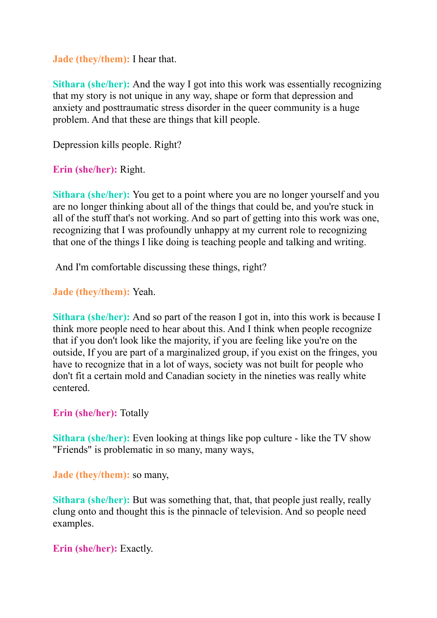**Jade (they/them):** I hear that.

**Sithara (she/her):** And the way I got into this work was essentially recognizing that my story is not unique in any way, shape or form that depression and anxiety and posttraumatic stress disorder in the queer community is a huge problem. And that these are things that kill people.

Depression kills people. Right?

**Erin (she/her):** Right.

**Sithara (she/her):** You get to a point where you are no longer yourself and you are no longer thinking about all of the things that could be, and you're stuck in all of the stuff that's not working. And so part of getting into this work was one, recognizing that I was profoundly unhappy at my current role to recognizing that one of the things I like doing is teaching people and talking and writing.

And I'm comfortable discussing these things, right?

**Jade (they/them):** Yeah.

**Sithara (she/her):** And so part of the reason I got in, into this work is because I think more people need to hear about this. And I think when people recognize that if you don't look like the majority, if you are feeling like you're on the outside, If you are part of a marginalized group, if you exist on the fringes, you have to recognize that in a lot of ways, society was not built for people who don't fit a certain mold and Canadian society in the nineties was really white centered.

**Erin (she/her):** Totally

**Sithara (she/her):** Even looking at things like pop culture - like the TV show "Friends" is problematic in so many, many ways,

**Jade (they/them):** so many,

**Sithara** (she/her): But was something that, that, that people just really, really clung onto and thought this is the pinnacle of television. And so people need examples.

**Erin (she/her):** Exactly.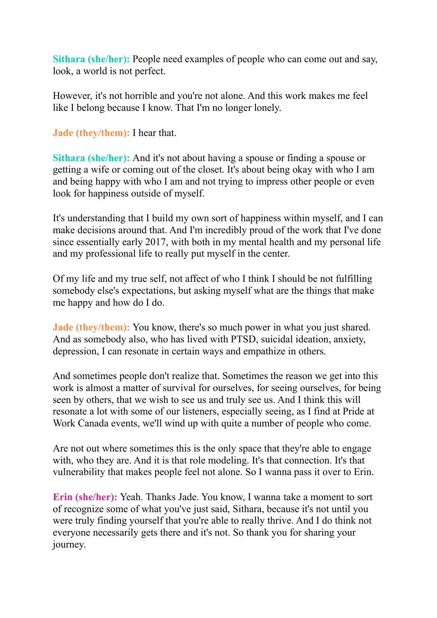**Sithara (she/her):** People need examples of people who can come out and say, look, a world is not perfect.

However, it's not horrible and you're not alone. And this work makes me feel like I belong because I know. That I'm no longer lonely.

**Jade (they/them):** I hear that.

**Sithara (she/her):** And it's not about having a spouse or finding a spouse or getting a wife or coming out of the closet. It's about being okay with who I am and being happy with who I am and not trying to impress other people or even look for happiness outside of myself.

It's understanding that I build my own sort of happiness within myself, and I can make decisions around that. And I'm incredibly proud of the work that I've done since essentially early 2017, with both in my mental health and my personal life and my professional life to really put myself in the center.

Of my life and my true self, not affect of who I think I should be not fulfilling somebody else's expectations, but asking myself what are the things that make me happy and how do I do.

**Jade (they/them):** You know, there's so much power in what you just shared. And as somebody also, who has lived with PTSD, suicidal ideation, anxiety, depression, I can resonate in certain ways and empathize in others.

And sometimes people don't realize that. Sometimes the reason we get into this work is almost a matter of survival for ourselves, for seeing ourselves, for being seen by others, that we wish to see us and truly see us. And I think this will resonate a lot with some of our listeners, especially seeing, as I find at Pride at Work Canada events, we'll wind up with quite a number of people who come.

Are not out where sometimes this is the only space that they're able to engage with, who they are. And it is that role modeling. It's that connection. It's that vulnerability that makes people feel not alone. So I wanna pass it over to Erin.

**Erin (she/her):** Yeah. Thanks Jade. You know, I wanna take a moment to sort of recognize some of what you've just said, Sithara, because it's not until you were truly finding yourself that you're able to really thrive. And I do think not everyone necessarily gets there and it's not. So thank you for sharing your journey.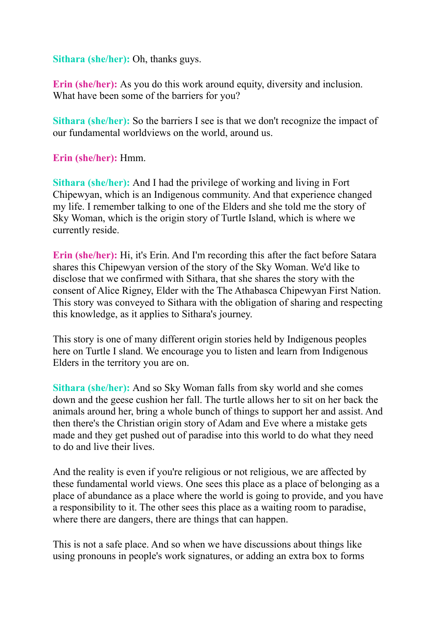**Sithara (she/her):** Oh, thanks guys.

**Erin (she/her):** As you do this work around equity, diversity and inclusion. What have been some of the barriers for you?

**Sithara (she/her):** So the barriers I see is that we don't recognize the impact of our fundamental worldviews on the world, around us.

**Erin (she/her):** Hmm.

**Sithara (she/her):** And I had the privilege of working and living in Fort Chipewyan, which is an Indigenous community. And that experience changed my life. I remember talking to one of the Elders and she told me the story of Sky Woman, which is the origin story of Turtle Island, which is where we currently reside.

**Erin (she/her):** Hi, it's Erin. And I'm recording this after the fact before Satara shares this Chipewyan version of the story of the Sky Woman. We'd like to disclose that we confirmed with Sithara, that she shares the story with the consent of Alice Rigney, Elder with the The Athabasca Chipewyan First Nation. This story was conveyed to Sithara with the obligation of sharing and respecting this knowledge, as it applies to Sithara's journey.

This story is one of many different origin stories held by Indigenous peoples here on Turtle I sland. We encourage you to listen and learn from Indigenous Elders in the territory you are on.

**Sithara (she/her):** And so Sky Woman falls from sky world and she comes down and the geese cushion her fall. The turtle allows her to sit on her back the animals around her, bring a whole bunch of things to support her and assist. And then there's the Christian origin story of Adam and Eve where a mistake gets made and they get pushed out of paradise into this world to do what they need to do and live their lives.

And the reality is even if you're religious or not religious, we are affected by these fundamental world views. One sees this place as a place of belonging as a place of abundance as a place where the world is going to provide, and you have a responsibility to it. The other sees this place as a waiting room to paradise, where there are dangers, there are things that can happen.

This is not a safe place. And so when we have discussions about things like using pronouns in people's work signatures, or adding an extra box to forms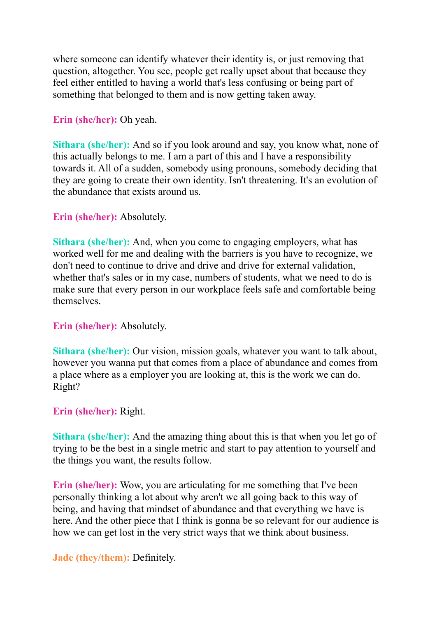where someone can identify whatever their identity is, or just removing that question, altogether. You see, people get really upset about that because they feel either entitled to having a world that's less confusing or being part of something that belonged to them and is now getting taken away.

### **Erin (she/her):** Oh yeah.

**Sithara (she/her):** And so if you look around and say, you know what, none of this actually belongs to me. I am a part of this and I have a responsibility towards it. All of a sudden, somebody using pronouns, somebody deciding that they are going to create their own identity. Isn't threatening. It's an evolution of the abundance that exists around us.

### **Erin (she/her):** Absolutely.

**Sithara (she/her):** And, when you come to engaging employers, what has worked well for me and dealing with the barriers is you have to recognize, we don't need to continue to drive and drive and drive for external validation, whether that's sales or in my case, numbers of students, what we need to do is make sure that every person in our workplace feels safe and comfortable being themselves.

### **Erin (she/her):** Absolutely.

**Sithara (she/her):** Our vision, mission goals, whatever you want to talk about, however you wanna put that comes from a place of abundance and comes from a place where as a employer you are looking at, this is the work we can do. Right?

### **Erin (she/her):** Right.

**Sithara (she/her):** And the amazing thing about this is that when you let go of trying to be the best in a single metric and start to pay attention to yourself and the things you want, the results follow.

**Erin (she/her):** Wow, you are articulating for me something that I've been personally thinking a lot about why aren't we all going back to this way of being, and having that mindset of abundance and that everything we have is here. And the other piece that I think is gonna be so relevant for our audience is how we can get lost in the very strict ways that we think about business.

### **Jade (they/them):** Definitely.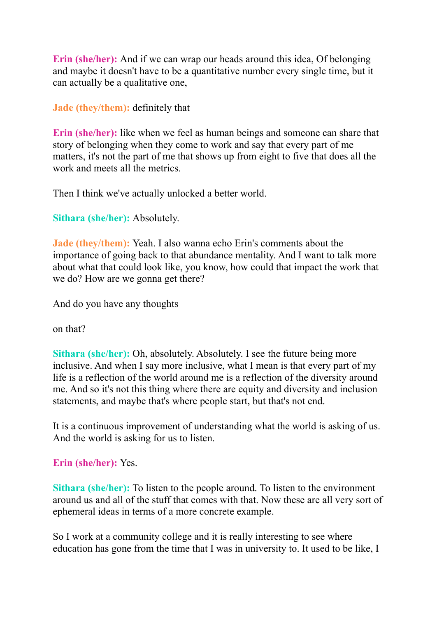**Erin (she/her):** And if we can wrap our heads around this idea, Of belonging and maybe it doesn't have to be a quantitative number every single time, but it can actually be a qualitative one,

**Jade (they/them):** definitely that

**Erin (she/her):** like when we feel as human beings and someone can share that story of belonging when they come to work and say that every part of me matters, it's not the part of me that shows up from eight to five that does all the work and meets all the metrics.

Then I think we've actually unlocked a better world.

**Sithara (she/her):** Absolutely.

**Jade (they/them):** Yeah. I also wanna echo Erin's comments about the importance of going back to that abundance mentality. And I want to talk more about what that could look like, you know, how could that impact the work that we do? How are we gonna get there?

And do you have any thoughts

on that?

**Sithara (she/her):** Oh, absolutely. Absolutely. I see the future being more inclusive. And when I say more inclusive, what I mean is that every part of my life is a reflection of the world around me is a reflection of the diversity around me. And so it's not this thing where there are equity and diversity and inclusion statements, and maybe that's where people start, but that's not end.

It is a continuous improvement of understanding what the world is asking of us. And the world is asking for us to listen.

# **Erin (she/her):** Yes.

**Sithara (she/her):** To listen to the people around. To listen to the environment around us and all of the stuff that comes with that. Now these are all very sort of ephemeral ideas in terms of a more concrete example.

So I work at a community college and it is really interesting to see where education has gone from the time that I was in university to. It used to be like, I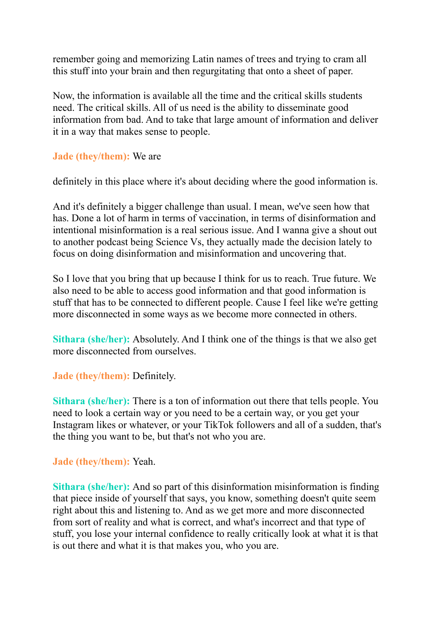remember going and memorizing Latin names of trees and trying to cram all this stuff into your brain and then regurgitating that onto a sheet of paper.

Now, the information is available all the time and the critical skills students need. The critical skills. All of us need is the ability to disseminate good information from bad. And to take that large amount of information and deliver it in a way that makes sense to people.

**Jade (they/them):** We are

definitely in this place where it's about deciding where the good information is.

And it's definitely a bigger challenge than usual. I mean, we've seen how that has. Done a lot of harm in terms of vaccination, in terms of disinformation and intentional misinformation is a real serious issue. And I wanna give a shout out to another podcast being Science Vs, they actually made the decision lately to focus on doing disinformation and misinformation and uncovering that.

So I love that you bring that up because I think for us to reach. True future. We also need to be able to access good information and that good information is stuff that has to be connected to different people. Cause I feel like we're getting more disconnected in some ways as we become more connected in others.

**Sithara (she/her):** Absolutely. And I think one of the things is that we also get more disconnected from ourselves.

**Jade (they/them):** Definitely.

**Sithara (she/her):** There is a ton of information out there that tells people. You need to look a certain way or you need to be a certain way, or you get your Instagram likes or whatever, or your TikTok followers and all of a sudden, that's the thing you want to be, but that's not who you are.

# **Jade (they/them):** Yeah.

**Sithara (she/her):** And so part of this disinformation misinformation is finding that piece inside of yourself that says, you know, something doesn't quite seem right about this and listening to. And as we get more and more disconnected from sort of reality and what is correct, and what's incorrect and that type of stuff, you lose your internal confidence to really critically look at what it is that is out there and what it is that makes you, who you are.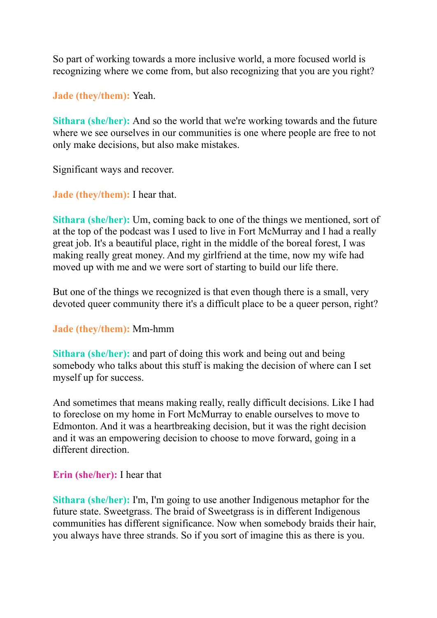So part of working towards a more inclusive world, a more focused world is recognizing where we come from, but also recognizing that you are you right?

**Jade (they/them):** Yeah.

**Sithara (she/her):** And so the world that we're working towards and the future where we see ourselves in our communities is one where people are free to not only make decisions, but also make mistakes.

Significant ways and recover.

**Jade (they/them):** I hear that.

**Sithara (she/her):** Um, coming back to one of the things we mentioned, sort of at the top of the podcast was I used to live in Fort McMurray and I had a really great job. It's a beautiful place, right in the middle of the boreal forest, I was making really great money. And my girlfriend at the time, now my wife had moved up with me and we were sort of starting to build our life there.

But one of the things we recognized is that even though there is a small, very devoted queer community there it's a difficult place to be a queer person, right?

**Jade (they/them):** Mm-hmm

**Sithara (she/her):** and part of doing this work and being out and being somebody who talks about this stuff is making the decision of where can I set myself up for success.

And sometimes that means making really, really difficult decisions. Like I had to foreclose on my home in Fort McMurray to enable ourselves to move to Edmonton. And it was a heartbreaking decision, but it was the right decision and it was an empowering decision to choose to move forward, going in a different direction.

# **Erin (she/her):** I hear that

**Sithara (she/her):** I'm, I'm going to use another Indigenous metaphor for the future state. Sweetgrass. The braid of Sweetgrass is in different Indigenous communities has different significance. Now when somebody braids their hair, you always have three strands. So if you sort of imagine this as there is you.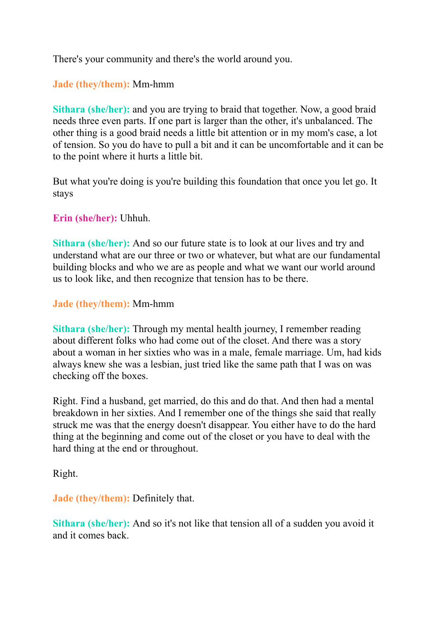There's your community and there's the world around you.

# **Jade (they/them):** Mm-hmm

**Sithara (she/her):** and you are trying to braid that together. Now, a good braid needs three even parts. If one part is larger than the other, it's unbalanced. The other thing is a good braid needs a little bit attention or in my mom's case, a lot of tension. So you do have to pull a bit and it can be uncomfortable and it can be to the point where it hurts a little bit.

But what you're doing is you're building this foundation that once you let go. It stays

## **Erin (she/her):** Uhhuh.

**Sithara (she/her):** And so our future state is to look at our lives and try and understand what are our three or two or whatever, but what are our fundamental building blocks and who we are as people and what we want our world around us to look like, and then recognize that tension has to be there.

### **Jade (they/them):** Mm-hmm

**Sithara (she/her):** Through my mental health journey, I remember reading about different folks who had come out of the closet. And there was a story about a woman in her sixties who was in a male, female marriage. Um, had kids always knew she was a lesbian, just tried like the same path that I was on was checking off the boxes.

Right. Find a husband, get married, do this and do that. And then had a mental breakdown in her sixties. And I remember one of the things she said that really struck me was that the energy doesn't disappear. You either have to do the hard thing at the beginning and come out of the closet or you have to deal with the hard thing at the end or throughout.

### Right.

**Jade (they/them):** Definitely that.

**Sithara (she/her):** And so it's not like that tension all of a sudden you avoid it and it comes back.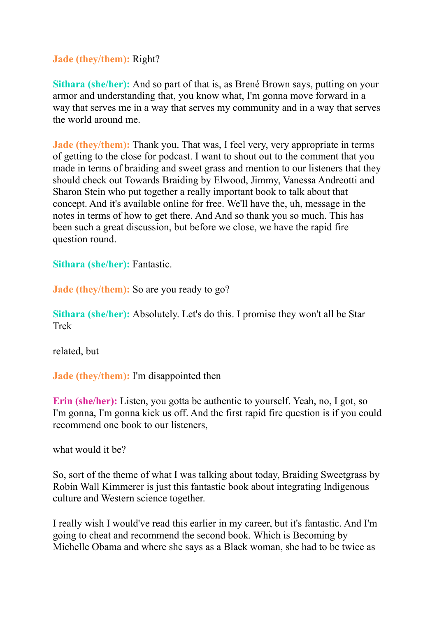## **Jade (they/them):** Right?

**Sithara (she/her):** And so part of that is, as Brené Brown says, putting on your armor and understanding that, you know what, I'm gonna move forward in a way that serves me in a way that serves my community and in a way that serves the world around me.

**Jade** (they/them): Thank you. That was, I feel very, very appropriate in terms of getting to the close for podcast. I want to shout out to the comment that you made in terms of braiding and sweet grass and mention to our listeners that they should check out Towards Braiding by Elwood, Jimmy, Vanessa Andreotti and Sharon Stein who put together a really important book to talk about that concept. And it's available online for free. We'll have the, uh, message in the notes in terms of how to get there. And And so thank you so much. This has been such a great discussion, but before we close, we have the rapid fire question round.

**Sithara (she/her):** Fantastic.

**Jade (they/them):** So are you ready to go?

**Sithara (she/her):** Absolutely. Let's do this. I promise they won't all be Star Trek

related, but

**Jade (they/them):** I'm disappointed then

**Erin (she/her):** Listen, you gotta be authentic to yourself. Yeah, no, I got, so I'm gonna, I'm gonna kick us off. And the first rapid fire question is if you could recommend one book to our listeners,

what would it be?

So, sort of the theme of what I was talking about today, Braiding Sweetgrass by Robin Wall Kimmerer is just this fantastic book about integrating Indigenous culture and Western science together.

I really wish I would've read this earlier in my career, but it's fantastic. And I'm going to cheat and recommend the second book. Which is Becoming by Michelle Obama and where she says as a Black woman, she had to be twice as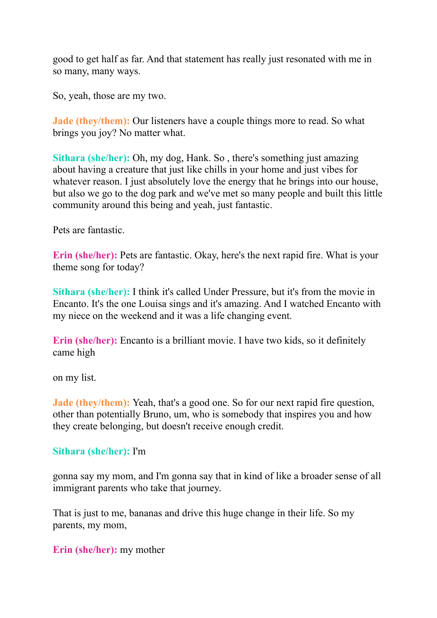good to get half as far. And that statement has really just resonated with me in so many, many ways.

So, yeah, those are my two.

**Jade (they/them):** Our listeners have a couple things more to read. So what brings you joy? No matter what.

**Sithara (she/her):** Oh, my dog, Hank. So , there's something just amazing about having a creature that just like chills in your home and just vibes for whatever reason. I just absolutely love the energy that he brings into our house, but also we go to the dog park and we've met so many people and built this little community around this being and yeah, just fantastic.

Pets are fantastic.

**Erin (she/her):** Pets are fantastic. Okay, here's the next rapid fire. What is your theme song for today?

**Sithara (she/her):** I think it's called Under Pressure, but it's from the movie in Encanto. It's the one Louisa sings and it's amazing. And I watched Encanto with my niece on the weekend and it was a life changing event.

**Erin (she/her):** Encanto is a brilliant movie. I have two kids, so it definitely came high

on my list.

**Jade (they/them):** Yeah, that's a good one. So for our next rapid fire question, other than potentially Bruno, um, who is somebody that inspires you and how they create belonging, but doesn't receive enough credit.

### **Sithara (she/her):** I'm

gonna say my mom, and I'm gonna say that in kind of like a broader sense of all immigrant parents who take that journey.

That is just to me, bananas and drive this huge change in their life. So my parents, my mom,

**Erin (she/her):** my mother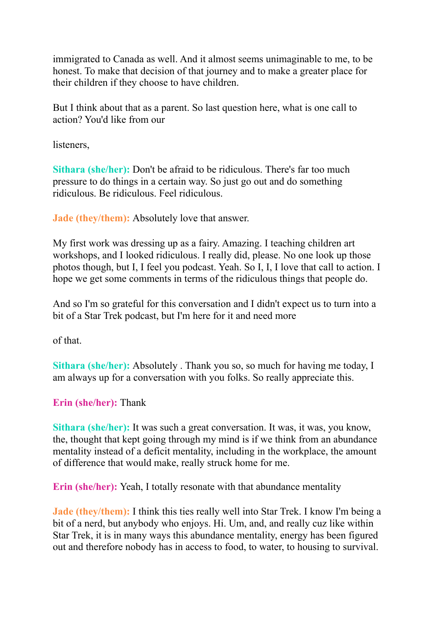immigrated to Canada as well. And it almost seems unimaginable to me, to be honest. To make that decision of that journey and to make a greater place for their children if they choose to have children.

But I think about that as a parent. So last question here, what is one call to action? You'd like from our

listeners,

**Sithara (she/her):** Don't be afraid to be ridiculous. There's far too much pressure to do things in a certain way. So just go out and do something ridiculous. Be ridiculous. Feel ridiculous.

**Jade (they/them):** Absolutely love that answer.

My first work was dressing up as a fairy. Amazing. I teaching children art workshops, and I looked ridiculous. I really did, please. No one look up those photos though, but I, I feel you podcast. Yeah. So I, I, I love that call to action. I hope we get some comments in terms of the ridiculous things that people do.

And so I'm so grateful for this conversation and I didn't expect us to turn into a bit of a Star Trek podcast, but I'm here for it and need more

of that.

**Sithara (she/her):** Absolutely . Thank you so, so much for having me today, I am always up for a conversation with you folks. So really appreciate this.

# **Erin (she/her):** Thank

**Sithara** (she/her): It was such a great conversation. It was, it was, you know, the, thought that kept going through my mind is if we think from an abundance mentality instead of a deficit mentality, including in the workplace, the amount of difference that would make, really struck home for me.

**Erin (she/her):** Yeah, I totally resonate with that abundance mentality

**Jade** (they/them): I think this ties really well into Star Trek. I know I'm being a bit of a nerd, but anybody who enjoys. Hi. Um, and, and really cuz like within Star Trek, it is in many ways this abundance mentality, energy has been figured out and therefore nobody has in access to food, to water, to housing to survival.